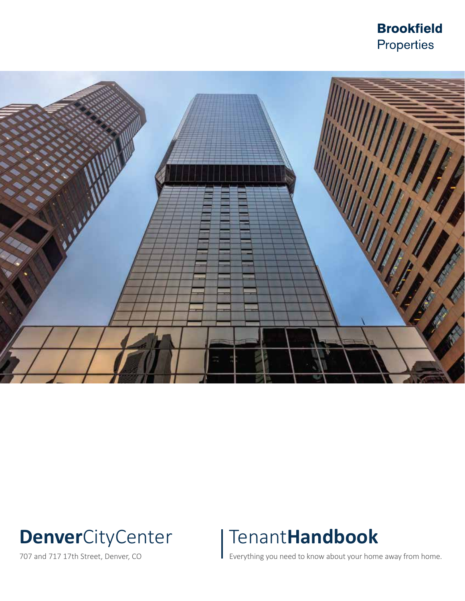# **Brookfield** Properties



# **Denver**CityCenter

707 and 717 17th Street, Denver, CO

# Tenant**Handbook**

Everything you need to know about your home away from home.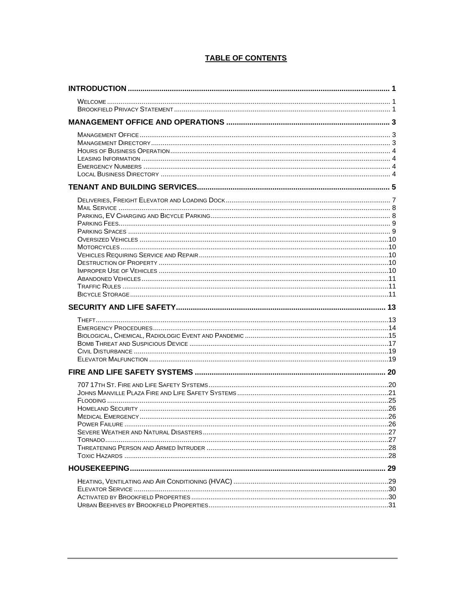# **TABLE OF CONTENTS**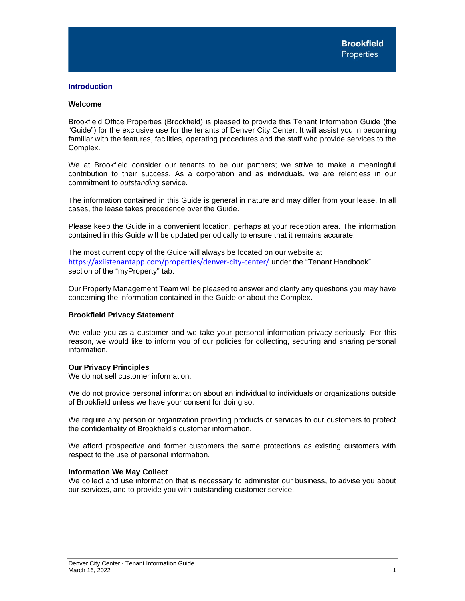# <span id="page-2-0"></span>**Introduction**

# <span id="page-2-1"></span>**Welcome**

Brookfield Office Properties (Brookfield) is pleased to provide this Tenant Information Guide (the "Guide") for the exclusive use for the tenants of Denver City Center. It will assist you in becoming familiar with the features, facilities, operating procedures and the staff who provide services to the Complex.

We at Brookfield consider our tenants to be our partners; we strive to make a meaningful contribution to their success. As a corporation and as individuals, we are relentless in our commitment to *outstanding* service.

The information contained in this Guide is general in nature and may differ from your lease. In all cases, the lease takes precedence over the Guide.

Please keep the Guide in a convenient location, perhaps at your reception area. The information contained in this Guide will be updated periodically to ensure that it remains accurate.

The most current copy of the Guide will always be located on our website at <https://axiistenantapp.com/properties/denver-city-center/> under the "Tenant Handbook" section of the "myProperty" tab.

Our Property Management Team will be pleased to answer and clarify any questions you may have concerning the information contained in the Guide or about the Complex.

# <span id="page-2-2"></span>**Brookfield Privacy Statement**

We value you as a customer and we take your personal information privacy seriously. For this reason, we would like to inform you of our policies for collecting, securing and sharing personal information.

# **Our Privacy Principles**

We do not sell customer information.

We do not provide personal information about an individual to individuals or organizations outside of Brookfield unless we have your consent for doing so.

We require any person or organization providing products or services to our customers to protect the confidentiality of Brookfield's customer information.

We afford prospective and former customers the same protections as existing customers with respect to the use of personal information.

# **Information We May Collect**

We collect and use information that is necessary to administer our business, to advise you about our services, and to provide you with outstanding customer service.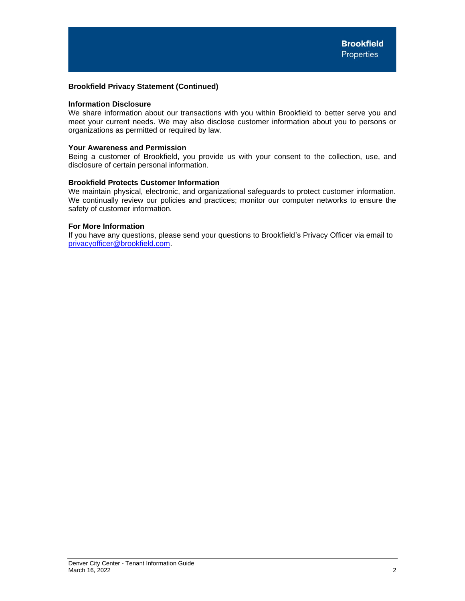# **Brookfield Privacy Statement (Continued)**

# **Information Disclosure**

We share information about our transactions with you within Brookfield to better serve you and meet your current needs. We may also disclose customer information about you to persons or organizations as permitted or required by law.

# **Your Awareness and Permission**

Being a customer of Brookfield, you provide us with your consent to the collection, use, and disclosure of certain personal information.

# **Brookfield Protects Customer Information**

We maintain physical, electronic, and organizational safeguards to protect customer information. We continually review our policies and practices; monitor our computer networks to ensure the safety of customer information.

# **For More Information**

If you have any questions, please send your questions to Brookfield's Privacy Officer via email to [privacyofficer@brookfield.com.](mailto:privacyofficer@brookfield.com)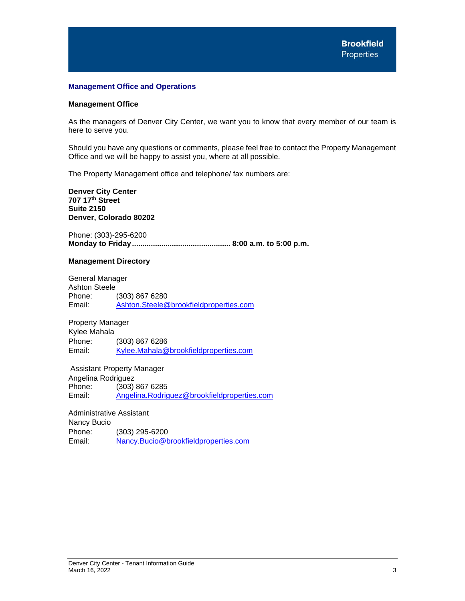# <span id="page-4-0"></span>**Management Office and Operations**

# <span id="page-4-1"></span>**Management Office**

As the managers of Denver City Center, we want you to know that every member of our team is here to serve you.

Should you have any questions or comments, please feel free to contact the Property Management Office and we will be happy to assist you, where at all possible.

The Property Management office and telephone/ fax numbers are:

**Denver City Center 707 17th Street Suite 2150 Denver, Colorado 80202**

Phone: (303)-295-6200 **Monday to Friday............................................... 8:00 a.m. to 5:00 p.m.**

# <span id="page-4-2"></span>**Management Directory**

General Manager Ashton Steele<br>Phone: (303) 867 6280 Email: [Ashton.Steele@brookfieldproperties.com](mailto:Ashton.Steele@brookfieldproperties.com)

Property Manager Kylee Mahala Phone: (303) 867 6286 Email: [Kylee.Mahala@brookfieldproperties.com](mailto:Kylee.Mahala@brookfieldproperties.com)

Assistant Property Manager Angelina Rodriguez Phone: (303) 867 6285 Email: [Angelina.Rodriguez@brookfieldproperties.com](mailto:Angelina.Rodriguez@brookfieldproperties.com)

Administrative Assistant

Nancy Bucio Phone: (303) 295-6200 Email: [Nancy.Bucio@brookfieldproperties.com](mailto:Nancy.Bucio@brookfieldproperties.com)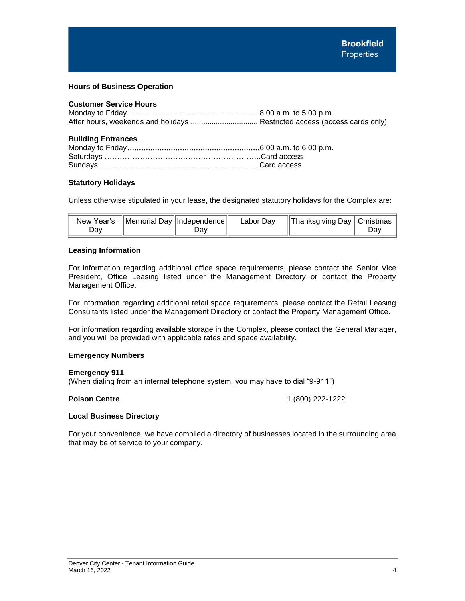# <span id="page-5-0"></span>**Hours of Business Operation**

# **Customer Service Hours**

# **Building Entrances**

# **Statutory Holidays**

Unless otherwise stipulated in your lease, the designated statutory holidays for the Complex are:

| New Year's<br>Jav | $\ \text{Memorial Day}\ $ Independence $\ $<br>Jav | Labor Dav | Thanksgiving Day   Christmas | יוa |
|-------------------|----------------------------------------------------|-----------|------------------------------|-----|
|                   |                                                    |           |                              |     |

# <span id="page-5-1"></span>**Leasing Information**

For information regarding additional office space requirements, please contact the Senior Vice President, Office Leasing listed under the Management Directory or contact the Property Management Office.

For information regarding additional retail space requirements, please contact the Retail Leasing Consultants listed under the Management Directory or contact the Property Management Office.

For information regarding available storage in the Complex, please contact the General Manager, and you will be provided with applicable rates and space availability.

# <span id="page-5-2"></span>**Emergency Numbers**

# **Emergency 911**

(When dialing from an internal telephone system, you may have to dial "9-911")

**Poison Centre** 1 (800) 222-1222

# <span id="page-5-3"></span>**Local Business Directory**

For your convenience, we have compiled a directory of businesses located in the surrounding area that may be of service to your company.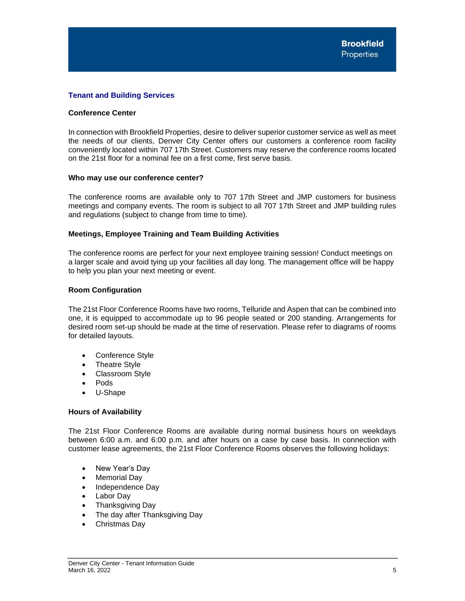# <span id="page-6-0"></span>**Tenant and Building Services**

# **Conference Center**

In connection with Brookfield Properties, desire to deliver superior customer service as well as meet the needs of our clients, Denver City Center offers our customers a conference room facility conveniently located within 707 17th Street. Customers may reserve the conference rooms located on the 21st floor for a nominal fee on a first come, first serve basis.

# **Who may use our conference center?**

The conference rooms are available only to 707 17th Street and JMP customers for business meetings and company events. The room is subject to all 707 17th Street and JMP building rules and regulations (subject to change from time to time).

# **Meetings, Employee Training and Team Building Activities**

The conference rooms are perfect for your next employee training session! Conduct meetings on a larger scale and avoid tying up your facilities all day long. The management office will be happy to help you plan your next meeting or event.

# **Room Configuration**

The 21st Floor Conference Rooms have two rooms, Telluride and Aspen that can be combined into one, it is equipped to accommodate up to 96 people seated or 200 standing. Arrangements for desired room set-up should be made at the time of reservation. Please refer to diagrams of rooms for detailed layouts.

- Conference Style
- Theatre Style
- Classroom Style
- Pods
- U-Shape

# **Hours of Availability**

The 21st Floor Conference Rooms are available during normal business hours on weekdays between 6:00 a.m. and 6:00 p.m. and after hours on a case by case basis. In connection with customer lease agreements, the 21st Floor Conference Rooms observes the following holidays:

- New Year's Day
- Memorial Day
- Independence Dav
- **Labor Day**
- Thanksgiving Day
- The day after Thanksgiving Day
- Christmas Day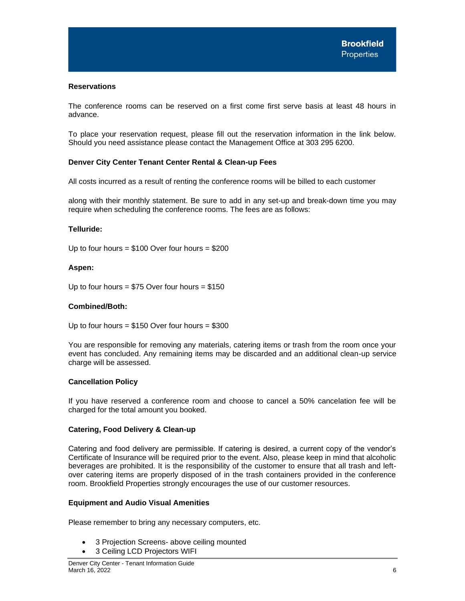# **Reservations**

The conference rooms can be reserved on a first come first serve basis at least 48 hours in advance.

To place your reservation request, please fill out the reservation information in the link below. Should you need assistance please contact the Management Office at 303 295 6200.

# **Denver City Center Tenant Center Rental & Clean-up Fees**

All costs incurred as a result of renting the conference rooms will be billed to each customer

along with their monthly statement. Be sure to add in any set-up and break-down time you may require when scheduling the conference rooms. The fees are as follows:

# **Telluride:**

Up to four hours  $= $100$  Over four hours  $= $200$ 

# **Aspen:**

Up to four hours =  $$75$  Over four hours =  $$150$ 

# **Combined/Both:**

Up to four hours =  $$150$  Over four hours =  $$300$ 

You are responsible for removing any materials, catering items or trash from the room once your event has concluded. Any remaining items may be discarded and an additional clean-up service charge will be assessed.

# **Cancellation Policy**

If you have reserved a conference room and choose to cancel a 50% cancelation fee will be charged for the total amount you booked.

# **Catering, Food Delivery & Clean-up**

Catering and food delivery are permissible. If catering is desired, a current copy of the vendor's Certificate of Insurance will be required prior to the event. Also, please keep in mind that alcoholic beverages are prohibited. It is the responsibility of the customer to ensure that all trash and leftover catering items are properly disposed of in the trash containers provided in the conference room. Brookfield Properties strongly encourages the use of our customer resources.

# **Equipment and Audio Visual Amenities**

Please remember to bring any necessary computers, etc.

- 3 Projection Screens- above ceiling mounted
- 3 Ceiling LCD Projectors WIFI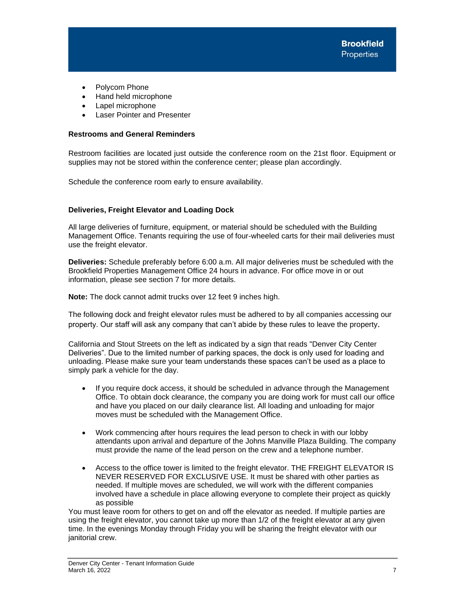- Polycom Phone
- Hand held microphone
- Lapel microphone
- **Laser Pointer and Presenter**

# **Restrooms and General Reminders**

Restroom facilities are located just outside the conference room on the 21st floor. Equipment or supplies may not be stored within the conference center; please plan accordingly.

Schedule the conference room early to ensure availability.

# <span id="page-8-0"></span>**Deliveries, Freight Elevator and Loading Dock**

All large deliveries of furniture, equipment, or material should be scheduled with the Building Management Office. Tenants requiring the use of four-wheeled carts for their mail deliveries must use the freight elevator.

**Deliveries:** Schedule preferably before 6:00 a.m. All major deliveries must be scheduled with the Brookfield Properties Management Office 24 hours in advance. For office move in or out information, please see section 7 for more details.

**Note:** The dock cannot admit trucks over 12 feet 9 inches high.

The following dock and freight elevator rules must be adhered to by all companies accessing our property. Our staff will ask any company that can't abide by these rules to leave the property.

California and Stout Streets on the left as indicated by a sign that reads "Denver City Center Deliveries". Due to the limited number of parking spaces, the dock is only used for loading and unloading. Please make sure your team understands these spaces can't be used as a place to simply park a vehicle for the day.

- If you require dock access, it should be scheduled in advance through the Management Office. To obtain dock clearance, the company you are doing work for must call our office and have you placed on our daily clearance list. All loading and unloading for major moves must be scheduled with the Management Office.
- Work commencing after hours requires the lead person to check in with our lobby attendants upon arrival and departure of the Johns Manville Plaza Building. The company must provide the name of the lead person on the crew and a telephone number.
- Access to the office tower is limited to the freight elevator. THE FREIGHT ELEVATOR IS NEVER RESERVED FOR EXCLUSIVE USE. It must be shared with other parties as needed. If multiple moves are scheduled, we will work with the different companies involved have a schedule in place allowing everyone to complete their project as quickly as possible

You must leave room for others to get on and off the elevator as needed. If multiple parties are using the freight elevator, you cannot take up more than 1/2 of the freight elevator at any given time. In the evenings Monday through Friday you will be sharing the freight elevator with our janitorial crew.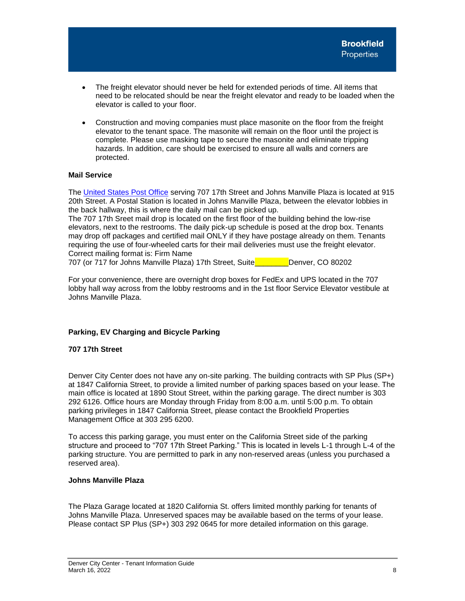- The freight elevator should never be held for extended periods of time. All items that need to be relocated should be near the freight elevator and ready to be loaded when the elevator is called to your floor.
- Construction and moving companies must place masonite on the floor from the freight elevator to the tenant space. The masonite will remain on the floor until the project is complete. Please use masking tape to secure the masonite and eliminate tripping hazards. In addition, care should be exercised to ensure all walls and corners are protected.

# <span id="page-9-0"></span>**Mail Service**

The [United States Post Office](https://www.usps.com/) serving 707 17th Street and Johns Manville Plaza is located at 915 20th Street. A Postal Station is located in Johns Manville Plaza, between the elevator lobbies in the back hallway, this is where the daily mail can be picked up.

The 707 17th Sreet mail drop is located on the first floor of the building behind the low-rise elevators, next to the restrooms. The daily pick-up schedule is posed at the drop box. Tenants may drop off packages and certified mail ONLY if they have postage already on them. Tenants requiring the use of four-wheeled carts for their mail deliveries must use the freight elevator. Correct mailing format is: Firm Name

707 (or 717 for Johns Manville Plaza) 17th Street, Suite\_\_\_\_\_\_\_\_Denver, CO 80202

For your convenience, there are overnight drop boxes for FedEx and UPS located in the 707 lobby hall way across from the lobby restrooms and in the 1st floor Service Elevator vestibule at Johns Manville Plaza.

# <span id="page-9-1"></span>**Parking, EV Charging and Bicycle Parking**

# **707 17th Street**

Denver City Center does not have any on-site parking. The building contracts with SP Plus (SP+) at 1847 California Street, to provide a limited number of parking spaces based on your lease. The main office is located at 1890 Stout Street, within the parking garage. The direct number is 303 292 6126. Office hours are Monday through Friday from 8:00 a.m. until 5:00 p.m. To obtain parking privileges in 1847 California Street, please contact the Brookfield Properties Management Office at 303 295 6200.

To access this parking garage, you must enter on the California Street side of the parking structure and proceed to "707 17th Street Parking." This is located in levels L-1 through L-4 of the parking structure. You are permitted to park in any non-reserved areas (unless you purchased a reserved area).

# **Johns Manville Plaza**

The Plaza Garage located at 1820 California St. offers limited monthly parking for tenants of Johns Manville Plaza. Unreserved spaces may be available based on the terms of your lease. Please contact SP Plus (SP+) 303 292 0645 for more detailed information on this garage.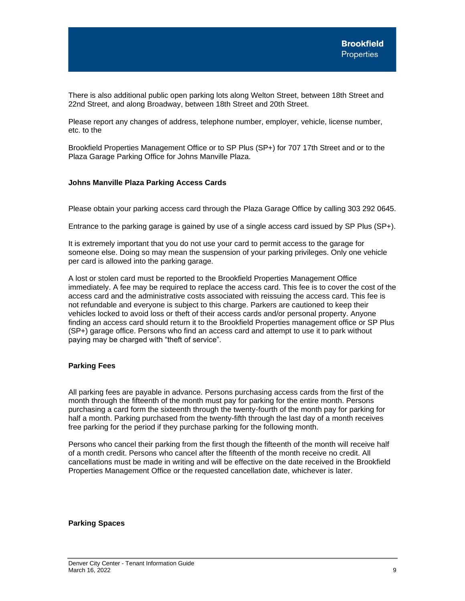There is also additional public open parking lots along Welton Street, between 18th Street and 22nd Street, and along Broadway, between 18th Street and 20th Street.

Please report any changes of address, telephone number, employer, vehicle, license number, etc. to the

Brookfield Properties Management Office or to SP Plus (SP+) for 707 17th Street and or to the Plaza Garage Parking Office for Johns Manville Plaza.

# **Johns Manville Plaza Parking Access Cards**

Please obtain your parking access card through the Plaza Garage Office by calling 303 292 0645.

Entrance to the parking garage is gained by use of a single access card issued by SP Plus (SP+).

It is extremely important that you do not use your card to permit access to the garage for someone else. Doing so may mean the suspension of your parking privileges. Only one vehicle per card is allowed into the parking garage.

A lost or stolen card must be reported to the Brookfield Properties Management Office immediately. A fee may be required to replace the access card. This fee is to cover the cost of the access card and the administrative costs associated with reissuing the access card. This fee is not refundable and everyone is subject to this charge. Parkers are cautioned to keep their vehicles locked to avoid loss or theft of their access cards and/or personal property. Anyone finding an access card should return it to the Brookfield Properties management office or SP Plus (SP+) garage office. Persons who find an access card and attempt to use it to park without paying may be charged with "theft of service".

# <span id="page-10-0"></span>**Parking Fees**

All parking fees are payable in advance. Persons purchasing access cards from the first of the month through the fifteenth of the month must pay for parking for the entire month. Persons purchasing a card form the sixteenth through the twenty-fourth of the month pay for parking for half a month. Parking purchased from the twenty-fifth through the last day of a month receives free parking for the period if they purchase parking for the following month.

Persons who cancel their parking from the first though the fifteenth of the month will receive half of a month credit. Persons who cancel after the fifteenth of the month receive no credit. All cancellations must be made in writing and will be effective on the date received in the Brookfield Properties Management Office or the requested cancellation date, whichever is later.

# <span id="page-10-1"></span>**Parking Spaces**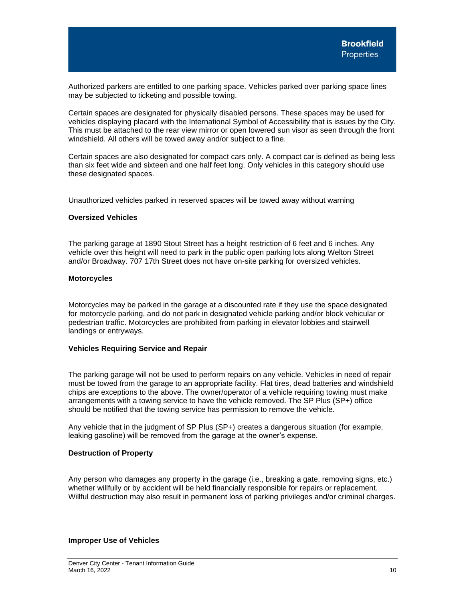Authorized parkers are entitled to one parking space. Vehicles parked over parking space lines may be subjected to ticketing and possible towing.

Certain spaces are designated for physically disabled persons. These spaces may be used for vehicles displaying placard with the International Symbol of Accessibility that is issues by the City. This must be attached to the rear view mirror or open lowered sun visor as seen through the front windshield. All others will be towed away and/or subject to a fine.

Certain spaces are also designated for compact cars only. A compact car is defined as being less than six feet wide and sixteen and one half feet long. Only vehicles in this category should use these designated spaces.

Unauthorized vehicles parked in reserved spaces will be towed away without warning

# <span id="page-11-0"></span>**Oversized Vehicles**

The parking garage at 1890 Stout Street has a height restriction of 6 feet and 6 inches. Any vehicle over this height will need to park in the public open parking lots along Welton Street and/or Broadway. 707 17th Street does not have on-site parking for oversized vehicles.

### <span id="page-11-1"></span>**Motorcycles**

Motorcycles may be parked in the garage at a discounted rate if they use the space designated for motorcycle parking, and do not park in designated vehicle parking and/or block vehicular or pedestrian traffic. Motorcycles are prohibited from parking in elevator lobbies and stairwell landings or entryways.

# <span id="page-11-2"></span>**Vehicles Requiring Service and Repair**

The parking garage will not be used to perform repairs on any vehicle. Vehicles in need of repair must be towed from the garage to an appropriate facility. Flat tires, dead batteries and windshield chips are exceptions to the above. The owner/operator of a vehicle requiring towing must make arrangements with a towing service to have the vehicle removed. The SP Plus (SP+) office should be notified that the towing service has permission to remove the vehicle.

Any vehicle that in the judgment of SP Plus (SP+) creates a dangerous situation (for example, leaking gasoline) will be removed from the garage at the owner's expense.

# <span id="page-11-3"></span>**Destruction of Property**

Any person who damages any property in the garage (i.e., breaking a gate, removing signs, etc.) whether willfully or by accident will be held financially responsible for repairs or replacement. Willful destruction may also result in permanent loss of parking privileges and/or criminal charges.

### <span id="page-11-4"></span>**Improper Use of Vehicles**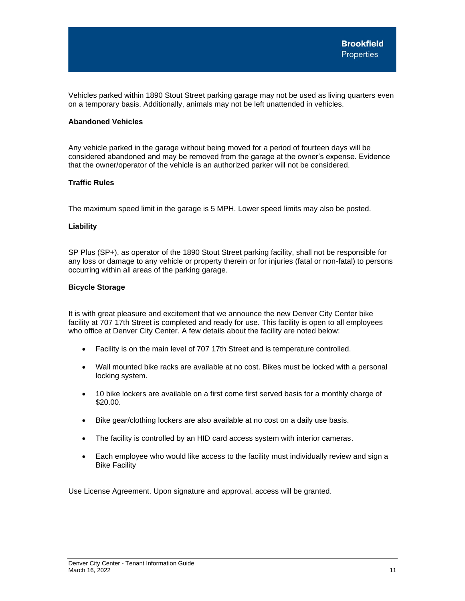Vehicles parked within 1890 Stout Street parking garage may not be used as living quarters even on a temporary basis. Additionally, animals may not be left unattended in vehicles.

# <span id="page-12-0"></span>**Abandoned Vehicles**

Any vehicle parked in the garage without being moved for a period of fourteen days will be considered abandoned and may be removed from the garage at the owner's expense. Evidence that the owner/operator of the vehicle is an authorized parker will not be considered.

# <span id="page-12-1"></span>**Traffic Rules**

The maximum speed limit in the garage is 5 MPH. Lower speed limits may also be posted.

# **Liability**

SP Plus (SP+), as operator of the 1890 Stout Street parking facility, shall not be responsible for any loss or damage to any vehicle or property therein or for injuries (fatal or non-fatal) to persons occurring within all areas of the parking garage.

# <span id="page-12-2"></span>**Bicycle Storage**

It is with great pleasure and excitement that we announce the new Denver City Center bike facility at 707 17th Street is completed and ready for use. This facility is open to all employees who office at Denver City Center. A few details about the facility are noted below:

- Facility is on the main level of 707 17th Street and is temperature controlled.
- Wall mounted bike racks are available at no cost. Bikes must be locked with a personal locking system.
- 10 bike lockers are available on a first come first served basis for a monthly charge of \$20.00.
- Bike gear/clothing lockers are also available at no cost on a daily use basis.
- The facility is controlled by an HID card access system with interior cameras.
- Each employee who would like access to the facility must individually review and sign a Bike Facility

Use License Agreement. Upon signature and approval, access will be granted.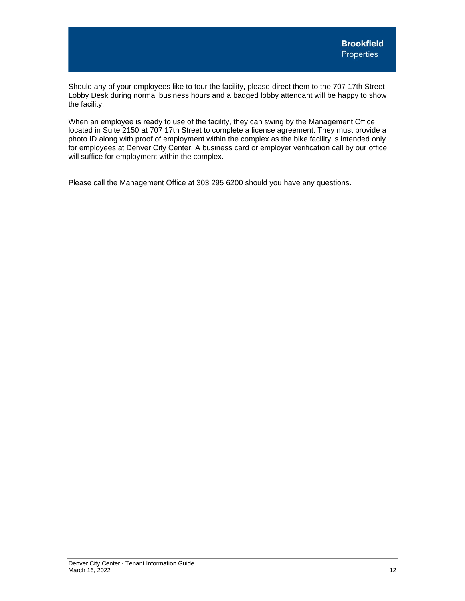Should any of your employees like to tour the facility, please direct them to the 707 17th Street Lobby Desk during normal business hours and a badged lobby attendant will be happy to show the facility.

When an employee is ready to use of the facility, they can swing by the Management Office located in Suite 2150 at 707 17th Street to complete a license agreement. They must provide a photo ID along with proof of employment within the complex as the bike facility is intended only for employees at Denver City Center. A business card or employer verification call by our office will suffice for employment within the complex.

Please call the Management Office at 303 295 6200 should you have any questions.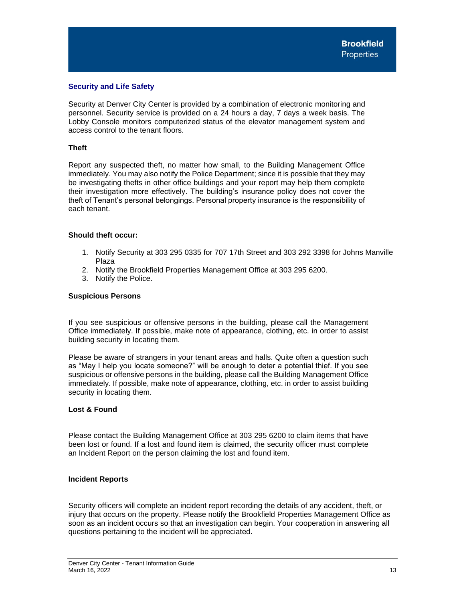# <span id="page-14-0"></span>**Security and Life Safety**

Security at Denver City Center is provided by a combination of electronic monitoring and personnel. Security service is provided on a 24 hours a day, 7 days a week basis. The Lobby Console monitors computerized status of the elevator management system and access control to the tenant floors.

# <span id="page-14-1"></span>**Theft**

Report any suspected theft, no matter how small, to the Building Management Office immediately. You may also notify the Police Department; since it is possible that they may be investigating thefts in other office buildings and your report may help them complete their investigation more effectively. The building's insurance policy does not cover the theft of Tenant's personal belongings. Personal property insurance is the responsibility of each tenant.

# **Should theft occur:**

- 1. Notify Security at 303 295 0335 for 707 17th Street and 303 292 3398 for Johns Manville Plaza
- 2. Notify the Brookfield Properties Management Office at 303 295 6200.
- 3. Notify the Police.

# **Suspicious Persons**

If you see suspicious or offensive persons in the building, please call the Management Office immediately. If possible, make note of appearance, clothing, etc. in order to assist building security in locating them.

Please be aware of strangers in your tenant areas and halls. Quite often a question such as "May I help you locate someone?" will be enough to deter a potential thief. If you see suspicious or offensive persons in the building, please call the Building Management Office immediately. If possible, make note of appearance, clothing, etc. in order to assist building security in locating them.

# **Lost & Found**

Please contact the Building Management Office at 303 295 6200 to claim items that have been lost or found. If a lost and found item is claimed, the security officer must complete an Incident Report on the person claiming the lost and found item.

# **Incident Reports**

Security officers will complete an incident report recording the details of any accident, theft, or injury that occurs on the property. Please notify the Brookfield Properties Management Office as soon as an incident occurs so that an investigation can begin. Your cooperation in answering all questions pertaining to the incident will be appreciated.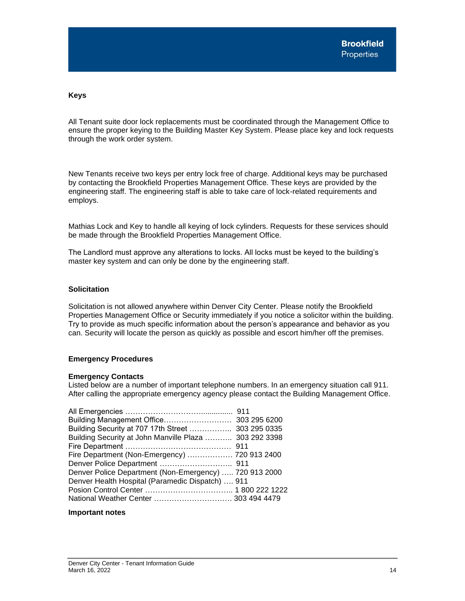# **Keys**

All Tenant suite door lock replacements must be coordinated through the Management Office to ensure the proper keying to the Building Master Key System. Please place key and lock requests through the work order system.

New Tenants receive two keys per entry lock free of charge. Additional keys may be purchased by contacting the Brookfield Properties Management Office. These keys are provided by the engineering staff. The engineering staff is able to take care of lock-related requirements and employs.

Mathias Lock and Key to handle all keying of lock cylinders. Requests for these services should be made through the Brookfield Properties Management Office.

The Landlord must approve any alterations to locks. All locks must be keyed to the building's master key system and can only be done by the engineering staff.

# **Solicitation**

Solicitation is not allowed anywhere within Denver City Center. Please notify the Brookfield Properties Management Office or Security immediately if you notice a solicitor within the building. Try to provide as much specific information about the person's appearance and behavior as you can. Security will locate the person as quickly as possible and escort him/her off the premises.

# <span id="page-15-0"></span>**Emergency Procedures**

# **Emergency Contacts**

Listed below are a number of important telephone numbers. In an emergency situation call 911. After calling the appropriate emergency agency please contact the Building Management Office.

| Building Security at 707 17th Street  303 295 0335     |  |
|--------------------------------------------------------|--|
| Building Security at John Manville Plaza  303 292 3398 |  |
|                                                        |  |
| Fire Department (Non-Emergency)  720 913 2400          |  |
|                                                        |  |
| Denver Police Department (Non-Emergency)  720 913 2000 |  |
| Denver Health Hospital (Paramedic Dispatch)  911       |  |
|                                                        |  |
|                                                        |  |

# **Important notes**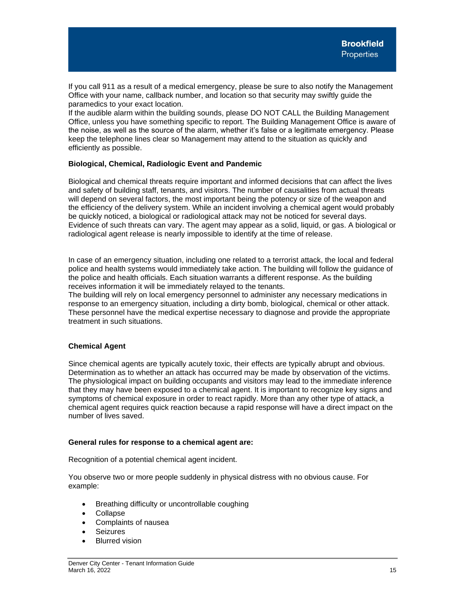If you call 911 as a result of a medical emergency, please be sure to also notify the Management Office with your name, callback number, and location so that security may swiftly guide the paramedics to your exact location.

If the audible alarm within the building sounds, please DO NOT CALL the Building Management Office, unless you have something specific to report. The Building Management Office is aware of the noise, as well as the source of the alarm, whether it's false or a legitimate emergency. Please keep the telephone lines clear so Management may attend to the situation as quickly and efficiently as possible.

# <span id="page-16-0"></span>**Biological, Chemical, Radiologic Event and Pandemic**

Biological and chemical threats require important and informed decisions that can affect the lives and safety of building staff, tenants, and visitors. The number of causalities from actual threats will depend on several factors, the most important being the potency or size of the weapon and the efficiency of the delivery system. While an incident involving a chemical agent would probably be quickly noticed, a biological or radiological attack may not be noticed for several days. Evidence of such threats can vary. The agent may appear as a solid, liquid, or gas. A biological or radiological agent release is nearly impossible to identify at the time of release.

In case of an emergency situation, including one related to a terrorist attack, the local and federal police and health systems would immediately take action. The building will follow the guidance of the police and health officials. Each situation warrants a different response. As the building receives information it will be immediately relayed to the tenants.

The building will rely on local emergency personnel to administer any necessary medications in response to an emergency situation, including a dirty bomb, biological, chemical or other attack. These personnel have the medical expertise necessary to diagnose and provide the appropriate treatment in such situations.

# **Chemical Agent**

Since chemical agents are typically acutely toxic, their effects are typically abrupt and obvious. Determination as to whether an attack has occurred may be made by observation of the victims. The physiological impact on building occupants and visitors may lead to the immediate inference that they may have been exposed to a chemical agent. It is important to recognize key signs and symptoms of chemical exposure in order to react rapidly. More than any other type of attack, a chemical agent requires quick reaction because a rapid response will have a direct impact on the number of lives saved.

# **General rules for response to a chemical agent are:**

Recognition of a potential chemical agent incident.

You observe two or more people suddenly in physical distress with no obvious cause. For example:

- Breathing difficulty or uncontrollable coughing
- Collapse
- Complaints of nausea
- Seizures
- **Blurred vision**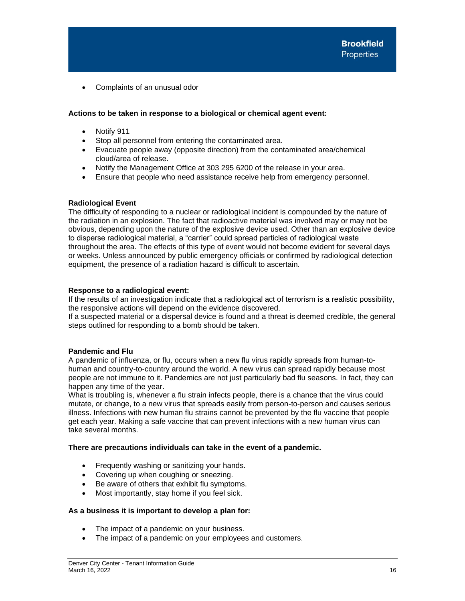• Complaints of an unusual odor

# **Actions to be taken in response to a biological or chemical agent event:**

- Notify 911
- Stop all personnel from entering the contaminated area.
- Evacuate people away (opposite direction) from the contaminated area/chemical cloud/area of release.
- Notify the Management Office at 303 295 6200 of the release in your area.
- Ensure that people who need assistance receive help from emergency personnel.

# **Radiological Event**

The difficulty of responding to a nuclear or radiological incident is compounded by the nature of the radiation in an explosion. The fact that radioactive material was involved may or may not be obvious, depending upon the nature of the explosive device used. Other than an explosive device to disperse radiological material, a "carrier" could spread particles of radiological waste throughout the area. The effects of this type of event would not become evident for several days or weeks. Unless announced by public emergency officials or confirmed by radiological detection equipment, the presence of a radiation hazard is difficult to ascertain.

# **Response to a radiological event:**

If the results of an investigation indicate that a radiological act of terrorism is a realistic possibility, the responsive actions will depend on the evidence discovered.

If a suspected material or a dispersal device is found and a threat is deemed credible, the general steps outlined for responding to a bomb should be taken.

# **Pandemic and Flu**

A pandemic of influenza, or flu, occurs when a new flu virus rapidly spreads from human-tohuman and country-to-country around the world. A new virus can spread rapidly because most people are not immune to it. Pandemics are not just particularly bad flu seasons. In fact, they can happen any time of the year.

What is troubling is, whenever a flu strain infects people, there is a chance that the virus could mutate, or change, to a new virus that spreads easily from person-to-person and causes serious illness. Infections with new human flu strains cannot be prevented by the flu vaccine that people get each year. Making a safe vaccine that can prevent infections with a new human virus can take several months.

# **There are precautions individuals can take in the event of a pandemic.**

- Frequently washing or sanitizing your hands.
- Covering up when coughing or sneezing.
- Be aware of others that exhibit flu symptoms.
- Most importantly, stay home if you feel sick.

# **As a business it is important to develop a plan for:**

- The impact of a pandemic on your business.
- The impact of a pandemic on your employees and customers.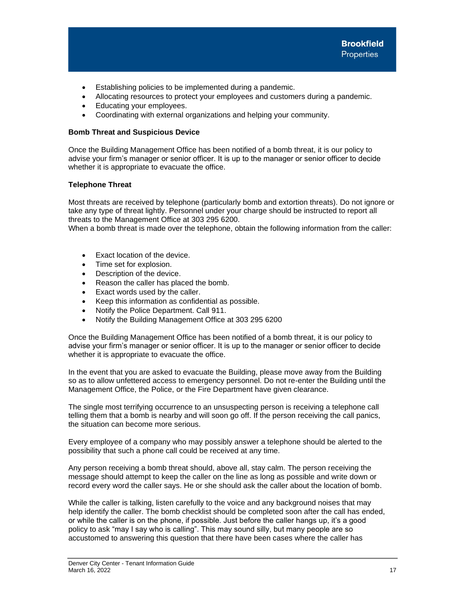- Establishing policies to be implemented during a pandemic.
- Allocating resources to protect your employees and customers during a pandemic.
- Educating your employees.
- Coordinating with external organizations and helping your community.

# <span id="page-18-0"></span>**Bomb Threat and Suspicious Device**

Once the Building Management Office has been notified of a bomb threat, it is our policy to advise your firm's manager or senior officer. It is up to the manager or senior officer to decide whether it is appropriate to evacuate the office.

# **Telephone Threat**

Most threats are received by telephone (particularly bomb and extortion threats). Do not ignore or take any type of threat lightly. Personnel under your charge should be instructed to report all threats to the Management Office at 303 295 6200.

When a bomb threat is made over the telephone, obtain the following information from the caller:

- Exact location of the device.
- Time set for explosion.
- Description of the device.
- Reason the caller has placed the bomb.
- Exact words used by the caller.
- Keep this information as confidential as possible.
- Notify the Police Department. Call 911.
- Notify the Building Management Office at 303 295 6200

Once the Building Management Office has been notified of a bomb threat, it is our policy to advise your firm's manager or senior officer. It is up to the manager or senior officer to decide whether it is appropriate to evacuate the office.

In the event that you are asked to evacuate the Building, please move away from the Building so as to allow unfettered access to emergency personnel. Do not re-enter the Building until the Management Office, the Police, or the Fire Department have given clearance.

The single most terrifying occurrence to an unsuspecting person is receiving a telephone call telling them that a bomb is nearby and will soon go off. If the person receiving the call panics, the situation can become more serious.

Every employee of a company who may possibly answer a telephone should be alerted to the possibility that such a phone call could be received at any time.

Any person receiving a bomb threat should, above all, stay calm. The person receiving the message should attempt to keep the caller on the line as long as possible and write down or record every word the caller says. He or she should ask the caller about the location of bomb.

While the caller is talking, listen carefully to the voice and any background noises that may help identify the caller. The bomb checklist should be completed soon after the call has ended, or while the caller is on the phone, if possible. Just before the caller hangs up, it's a good policy to ask "may I say who is calling". This may sound silly, but many people are so accustomed to answering this question that there have been cases where the caller has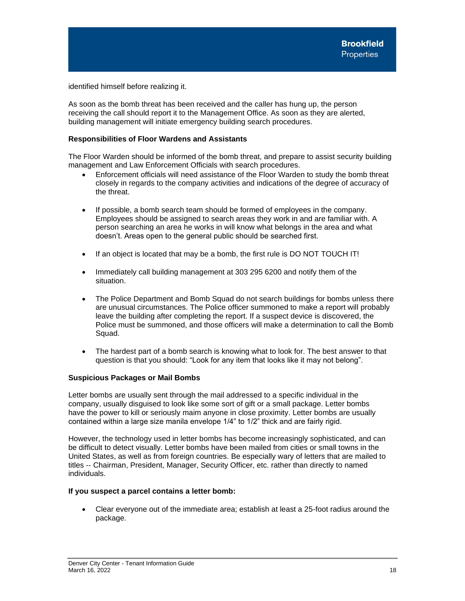identified himself before realizing it.

As soon as the bomb threat has been received and the caller has hung up, the person receiving the call should report it to the Management Office. As soon as they are alerted, building management will initiate emergency building search procedures.

# **Responsibilities of Floor Wardens and Assistants**

The Floor Warden should be informed of the bomb threat, and prepare to assist security building management and Law Enforcement Officials with search procedures.

- Enforcement officials will need assistance of the Floor Warden to study the bomb threat closely in regards to the company activities and indications of the degree of accuracy of the threat.
- If possible, a bomb search team should be formed of employees in the company. Employees should be assigned to search areas they work in and are familiar with. A person searching an area he works in will know what belongs in the area and what doesn't. Areas open to the general public should be searched first.
- If an object is located that may be a bomb, the first rule is DO NOT TOUCH IT!
- Immediately call building management at 303 295 6200 and notify them of the situation.
- The Police Department and Bomb Squad do not search buildings for bombs unless there are unusual circumstances. The Police officer summoned to make a report will probably leave the building after completing the report. If a suspect device is discovered, the Police must be summoned, and those officers will make a determination to call the Bomb Squad.
- The hardest part of a bomb search is knowing what to look for. The best answer to that question is that you should: "Look for any item that looks like it may not belong".

# **Suspicious Packages or Mail Bombs**

Letter bombs are usually sent through the mail addressed to a specific individual in the company, usually disguised to look like some sort of gift or a small package. Letter bombs have the power to kill or seriously maim anyone in close proximity. Letter bombs are usually contained within a large size manila envelope 1/4" to 1/2" thick and are fairly rigid.

However, the technology used in letter bombs has become increasingly sophisticated, and can be difficult to detect visually. Letter bombs have been mailed from cities or small towns in the United States, as well as from foreign countries. Be especially wary of letters that are mailed to titles -- Chairman, President, Manager, Security Officer, etc. rather than directly to named individuals.

# **If you suspect a parcel contains a letter bomb:**

• Clear everyone out of the immediate area; establish at least a 25-foot radius around the package.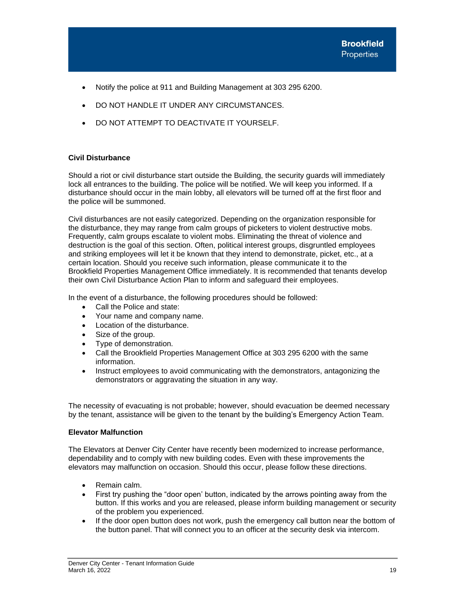- Notify the police at 911 and Building Management at 303 295 6200.
- DO NOT HANDLE IT UNDER ANY CIRCUMSTANCES.
- DO NOT ATTEMPT TO DEACTIVATE IT YOURSELF.

# <span id="page-20-0"></span>**Civil Disturbance**

Should a riot or civil disturbance start outside the Building, the security guards will immediately lock all entrances to the building. The police will be notified. We will keep you informed. If a disturbance should occur in the main lobby, all elevators will be turned off at the first floor and the police will be summoned.

Civil disturbances are not easily categorized. Depending on the organization responsible for the disturbance, they may range from calm groups of picketers to violent destructive mobs. Frequently, calm groups escalate to violent mobs. Eliminating the threat of violence and destruction is the goal of this section. Often, political interest groups, disgruntled employees and striking employees will let it be known that they intend to demonstrate, picket, etc., at a certain location. Should you receive such information, please communicate it to the Brookfield Properties Management Office immediately. It is recommended that tenants develop their own Civil Disturbance Action Plan to inform and safeguard their employees.

In the event of a disturbance, the following procedures should be followed:

- Call the Police and state:
- Your name and company name.
- Location of the disturbance.
- Size of the group.
- Type of demonstration.
- Call the Brookfield Properties Management Office at 303 295 6200 with the same information.
- Instruct employees to avoid communicating with the demonstrators, antagonizing the demonstrators or aggravating the situation in any way.

The necessity of evacuating is not probable; however, should evacuation be deemed necessary by the tenant, assistance will be given to the tenant by the building's Emergency Action Team.

# <span id="page-20-1"></span>**Elevator Malfunction**

The Elevators at Denver City Center have recently been modernized to increase performance, dependability and to comply with new building codes. Even with these improvements the elevators may malfunction on occasion. Should this occur, please follow these directions.

- Remain calm.
- First try pushing the "door open' button, indicated by the arrows pointing away from the button. If this works and you are released, please inform building management or security of the problem you experienced.
- If the door open button does not work, push the emergency call button near the bottom of the button panel. That will connect you to an officer at the security desk via intercom.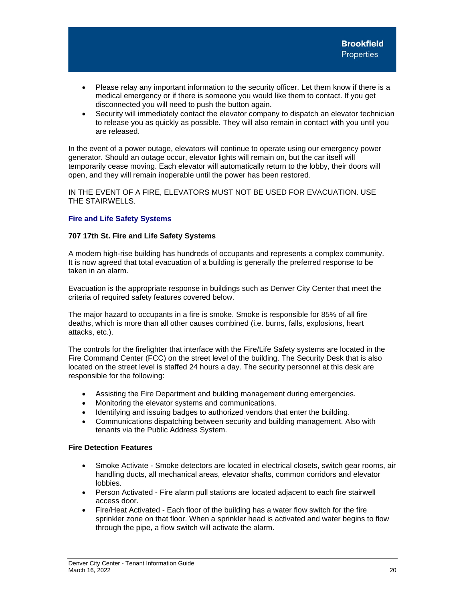- Please relay any important information to the security officer. Let them know if there is a medical emergency or if there is someone you would like them to contact. If you get disconnected you will need to push the button again.
- Security will immediately contact the elevator company to dispatch an elevator technician to release you as quickly as possible. They will also remain in contact with you until you are released.

In the event of a power outage, elevators will continue to operate using our emergency power generator. Should an outage occur, elevator lights will remain on, but the car itself will temporarily cease moving. Each elevator will automatically return to the lobby, their doors will open, and they will remain inoperable until the power has been restored.

IN THE EVENT OF A FIRE, ELEVATORS MUST NOT BE USED FOR EVACUATION. USE THE STAIRWELLS.

# <span id="page-21-0"></span>**Fire and Life Safety Systems**

# <span id="page-21-1"></span>**707 17th St. Fire and Life Safety Systems**

A modern high-rise building has hundreds of occupants and represents a complex community. It is now agreed that total evacuation of a building is generally the preferred response to be taken in an alarm.

Evacuation is the appropriate response in buildings such as Denver City Center that meet the criteria of required safety features covered below.

The major hazard to occupants in a fire is smoke. Smoke is responsible for 85% of all fire deaths, which is more than all other causes combined (i.e. burns, falls, explosions, heart attacks, etc.).

The controls for the firefighter that interface with the Fire/Life Safety systems are located in the Fire Command Center (FCC) on the street level of the building. The Security Desk that is also located on the street level is staffed 24 hours a day. The security personnel at this desk are responsible for the following:

- Assisting the Fire Department and building management during emergencies.
- Monitoring the elevator systems and communications.
- Identifying and issuing badges to authorized vendors that enter the building.
- Communications dispatching between security and building management. Also with tenants via the Public Address System.

# **Fire Detection Features**

- Smoke Activate Smoke detectors are located in electrical closets, switch gear rooms, air handling ducts, all mechanical areas, elevator shafts, common corridors and elevator lobbies.
- Person Activated Fire alarm pull stations are located adjacent to each fire stairwell access door.
- Fire/Heat Activated Each floor of the building has a water flow switch for the fire sprinkler zone on that floor. When a sprinkler head is activated and water begins to flow through the pipe, a flow switch will activate the alarm.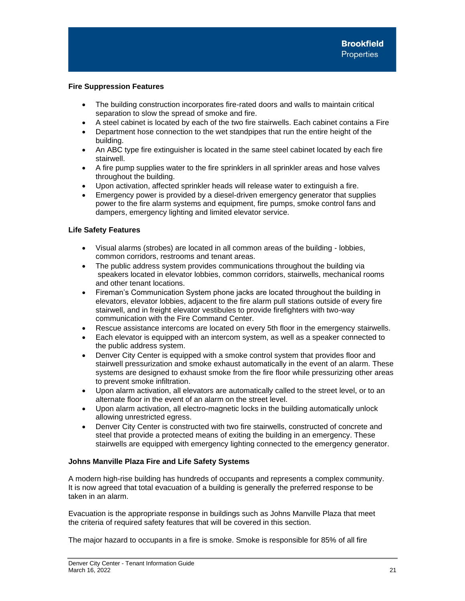# **Fire Suppression Features**

- The building construction incorporates fire-rated doors and walls to maintain critical separation to slow the spread of smoke and fire.
- A steel cabinet is located by each of the two fire stairwells. Each cabinet contains a Fire
- Department hose connection to the wet standpipes that run the entire height of the building.
- An ABC type fire extinguisher is located in the same steel cabinet located by each fire stairwell.
- A fire pump supplies water to the fire sprinklers in all sprinkler areas and hose valves throughout the building.
- Upon activation, affected sprinkler heads will release water to extinguish a fire.
- Emergency power is provided by a diesel-driven emergency generator that supplies power to the fire alarm systems and equipment, fire pumps, smoke control fans and dampers, emergency lighting and limited elevator service.

# **Life Safety Features**

- Visual alarms (strobes) are located in all common areas of the building lobbies, common corridors, restrooms and tenant areas.
- The public address system provides communications throughout the building via speakers located in elevator lobbies, common corridors, stairwells, mechanical rooms and other tenant locations.
- Fireman's Communication System phone jacks are located throughout the building in elevators, elevator lobbies, adjacent to the fire alarm pull stations outside of every fire stairwell, and in freight elevator vestibules to provide firefighters with two-way communication with the Fire Command Center.
- Rescue assistance intercoms are located on every 5th floor in the emergency stairwells.
- Each elevator is equipped with an intercom system, as well as a speaker connected to the public address system.
- Denver City Center is equipped with a smoke control system that provides floor and stairwell pressurization and smoke exhaust automatically in the event of an alarm. These systems are designed to exhaust smoke from the fire floor while pressurizing other areas to prevent smoke infiltration.
- Upon alarm activation, all elevators are automatically called to the street level, or to an alternate floor in the event of an alarm on the street level.
- Upon alarm activation, all electro-magnetic locks in the building automatically unlock allowing unrestricted egress.
- Denver City Center is constructed with two fire stairwells, constructed of concrete and steel that provide a protected means of exiting the building in an emergency. These stairwells are equipped with emergency lighting connected to the emergency generator.

# <span id="page-22-0"></span>**Johns Manville Plaza Fire and Life Safety Systems**

A modern high-rise building has hundreds of occupants and represents a complex community. It is now agreed that total evacuation of a building is generally the preferred response to be taken in an alarm.

Evacuation is the appropriate response in buildings such as Johns Manville Plaza that meet the criteria of required safety features that will be covered in this section.

The major hazard to occupants in a fire is smoke. Smoke is responsible for 85% of all fire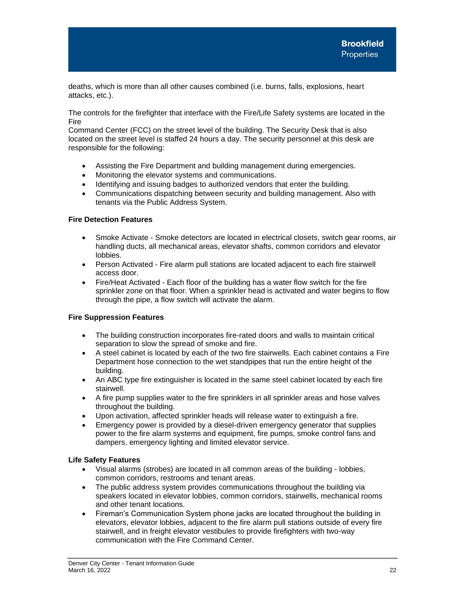deaths, which is more than all other causes combined (i.e. burns, falls, explosions, heart attacks, etc.).

The controls for the firefighter that interface with the Fire/Life Safety systems are located in the Fire

Command Center (FCC) on the street level of the building. The Security Desk that is also located on the street level is staffed 24 hours a day. The security personnel at this desk are responsible for the following:

- Assisting the Fire Department and building management during emergencies.
- Monitoring the elevator systems and communications.
- Identifying and issuing badges to authorized vendors that enter the building.
- Communications dispatching between security and building management. Also with tenants via the Public Address System.

# **Fire Detection Features**

- Smoke Activate Smoke detectors are located in electrical closets, switch gear rooms, air handling ducts, all mechanical areas, elevator shafts, common corridors and elevator lobbies.
- Person Activated Fire alarm pull stations are located adjacent to each fire stairwell access door.
- Fire/Heat Activated Each floor of the building has a water flow switch for the fire sprinkler zone on that floor. When a sprinkler head is activated and water begins to flow through the pipe, a flow switch will activate the alarm.

# **Fire Suppression Features**

- The building construction incorporates fire-rated doors and walls to maintain critical separation to slow the spread of smoke and fire.
- A steel cabinet is located by each of the two fire stairwells. Each cabinet contains a Fire Department hose connection to the wet standpipes that run the entire height of the building.
- An ABC type fire extinguisher is located in the same steel cabinet located by each fire stairwell.
- A fire pump supplies water to the fire sprinklers in all sprinkler areas and hose valves throughout the building.
- Upon activation, affected sprinkler heads will release water to extinguish a fire.
- Emergency power is provided by a diesel-driven emergency generator that supplies power to the fire alarm systems and equipment, fire pumps, smoke control fans and dampers, emergency lighting and limited elevator service.

# **Life Safety Features**

- Visual alarms (strobes) are located in all common areas of the building lobbies, common corridors, restrooms and tenant areas.
- The public address system provides communications throughout the building via speakers located in elevator lobbies, common corridors, stairwells, mechanical rooms and other tenant locations.
- Fireman's Communication System phone jacks are located throughout the building in elevators, elevator lobbies, adjacent to the fire alarm pull stations outside of every fire stairwell, and in freight elevator vestibules to provide firefighters with two-way communication with the Fire Command Center.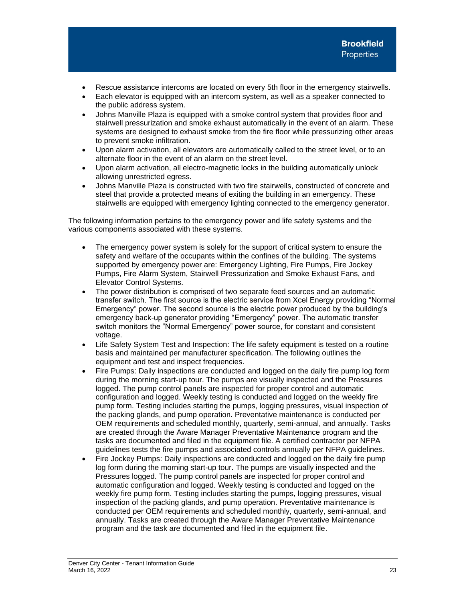- Rescue assistance intercoms are located on every 5th floor in the emergency stairwells.
- Each elevator is equipped with an intercom system, as well as a speaker connected to the public address system.
- Johns Manville Plaza is equipped with a smoke control system that provides floor and stairwell pressurization and smoke exhaust automatically in the event of an alarm. These systems are designed to exhaust smoke from the fire floor while pressurizing other areas to prevent smoke infiltration.
- Upon alarm activation, all elevators are automatically called to the street level, or to an alternate floor in the event of an alarm on the street level.
- Upon alarm activation, all electro-magnetic locks in the building automatically unlock allowing unrestricted egress.
- Johns Manville Plaza is constructed with two fire stairwells, constructed of concrete and steel that provide a protected means of exiting the building in an emergency. These stairwells are equipped with emergency lighting connected to the emergency generator.

The following information pertains to the emergency power and life safety systems and the various components associated with these systems.

- The emergency power system is solely for the support of critical system to ensure the safety and welfare of the occupants within the confines of the building. The systems supported by emergency power are: Emergency Lighting, Fire Pumps, Fire Jockey Pumps, Fire Alarm System, Stairwell Pressurization and Smoke Exhaust Fans, and Elevator Control Systems.
- The power distribution is comprised of two separate feed sources and an automatic transfer switch. The first source is the electric service from Xcel Energy providing "Normal Emergency" power. The second source is the electric power produced by the building's emergency back-up generator providing "Emergency" power. The automatic transfer switch monitors the "Normal Emergency" power source, for constant and consistent voltage.
- Life Safety System Test and Inspection: The life safety equipment is tested on a routine basis and maintained per manufacturer specification. The following outlines the equipment and test and inspect frequencies.
- Fire Pumps: Daily inspections are conducted and logged on the daily fire pump log form during the morning start-up tour. The pumps are visually inspected and the Pressures logged. The pump control panels are inspected for proper control and automatic configuration and logged. Weekly testing is conducted and logged on the weekly fire pump form. Testing includes starting the pumps, logging pressures, visual inspection of the packing glands, and pump operation. Preventative maintenance is conducted per OEM requirements and scheduled monthly, quarterly, semi-annual, and annually. Tasks are created through the Aware Manager Preventative Maintenance program and the tasks are documented and filed in the equipment file. A certified contractor per NFPA guidelines tests the fire pumps and associated controls annually per NFPA guidelines.
- Fire Jockey Pumps: Daily inspections are conducted and logged on the daily fire pump log form during the morning start-up tour. The pumps are visually inspected and the Pressures logged. The pump control panels are inspected for proper control and automatic configuration and logged. Weekly testing is conducted and logged on the weekly fire pump form. Testing includes starting the pumps, logging pressures, visual inspection of the packing glands, and pump operation. Preventative maintenance is conducted per OEM requirements and scheduled monthly, quarterly, semi-annual, and annually. Tasks are created through the Aware Manager Preventative Maintenance program and the task are documented and filed in the equipment file.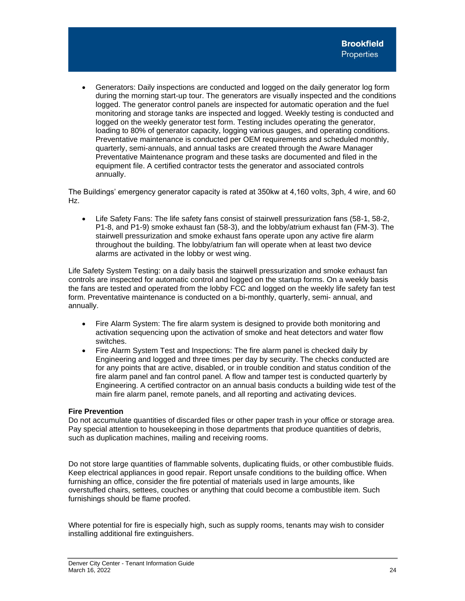• Generators: Daily inspections are conducted and logged on the daily generator log form during the morning start-up tour. The generators are visually inspected and the conditions logged. The generator control panels are inspected for automatic operation and the fuel monitoring and storage tanks are inspected and logged. Weekly testing is conducted and logged on the weekly generator test form. Testing includes operating the generator, loading to 80% of generator capacity, logging various gauges, and operating conditions. Preventative maintenance is conducted per OEM requirements and scheduled monthly, quarterly, semi-annuals, and annual tasks are created through the Aware Manager Preventative Maintenance program and these tasks are documented and filed in the equipment file. A certified contractor tests the generator and associated controls annually.

The Buildings' emergency generator capacity is rated at 350kw at 4,160 volts, 3ph, 4 wire, and 60 Hz.

• Life Safety Fans: The life safety fans consist of stairwell pressurization fans (58-1, 58-2, P1-8, and P1-9) smoke exhaust fan (58-3), and the lobby/atrium exhaust fan (FM-3). The stairwell pressurization and smoke exhaust fans operate upon any active fire alarm throughout the building. The lobby/atrium fan will operate when at least two device alarms are activated in the lobby or west wing.

Life Safety System Testing: on a daily basis the stairwell pressurization and smoke exhaust fan controls are inspected for automatic control and logged on the startup forms. On a weekly basis the fans are tested and operated from the lobby FCC and logged on the weekly life safety fan test form. Preventative maintenance is conducted on a bi-monthly, quarterly, semi- annual, and annually.

- Fire Alarm System: The fire alarm system is designed to provide both monitoring and activation sequencing upon the activation of smoke and heat detectors and water flow switches.
- Fire Alarm System Test and Inspections: The fire alarm panel is checked daily by Engineering and logged and three times per day by security. The checks conducted are for any points that are active, disabled, or in trouble condition and status condition of the fire alarm panel and fan control panel. A flow and tamper test is conducted quarterly by Engineering. A certified contractor on an annual basis conducts a building wide test of the main fire alarm panel, remote panels, and all reporting and activating devices.

# **Fire Prevention**

Do not accumulate quantities of discarded files or other paper trash in your office or storage area. Pay special attention to housekeeping in those departments that produce quantities of debris, such as duplication machines, mailing and receiving rooms.

Do not store large quantities of flammable solvents, duplicating fluids, or other combustible fluids. Keep electrical appliances in good repair. Report unsafe conditions to the building office. When furnishing an office, consider the fire potential of materials used in large amounts, like overstuffed chairs, settees, couches or anything that could become a combustible item. Such furnishings should be flame proofed.

Where potential for fire is especially high, such as supply rooms, tenants may wish to consider installing additional fire extinguishers.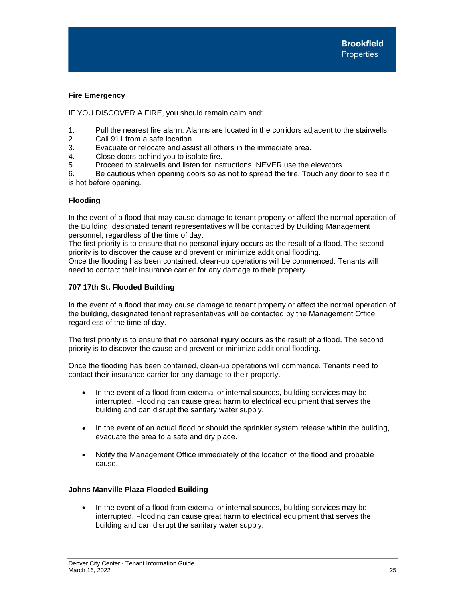# **Fire Emergency**

IF YOU DISCOVER A FIRE, you should remain calm and:

- 1. Pull the nearest fire alarm. Alarms are located in the corridors adjacent to the stairwells.
- 2. Call 911 from a safe location.
- 3. Evacuate or relocate and assist all others in the immediate area.
- 4. Close doors behind you to isolate fire.
- 5. Proceed to stairwells and listen for instructions. NEVER use the elevators.

6. Be cautious when opening doors so as not to spread the fire. Touch any door to see if it is hot before opening.

# <span id="page-26-0"></span>**Flooding**

In the event of a flood that may cause damage to tenant property or affect the normal operation of the Building, designated tenant representatives will be contacted by Building Management personnel, regardless of the time of day.

The first priority is to ensure that no personal injury occurs as the result of a flood. The second priority is to discover the cause and prevent or minimize additional flooding. Once the flooding has been contained, clean-up operations will be commenced. Tenants will

need to contact their insurance carrier for any damage to their property.

# **707 17th St. Flooded Building**

In the event of a flood that may cause damage to tenant property or affect the normal operation of the building, designated tenant representatives will be contacted by the Management Office, regardless of the time of day.

The first priority is to ensure that no personal injury occurs as the result of a flood. The second priority is to discover the cause and prevent or minimize additional flooding.

Once the flooding has been contained, clean-up operations will commence. Tenants need to contact their insurance carrier for any damage to their property.

- In the event of a flood from external or internal sources, building services may be interrupted. Flooding can cause great harm to electrical equipment that serves the building and can disrupt the sanitary water supply.
- In the event of an actual flood or should the sprinkler system release within the building, evacuate the area to a safe and dry place.
- Notify the Management Office immediately of the location of the flood and probable cause.

# **Johns Manville Plaza Flooded Building**

• In the event of a flood from external or internal sources, building services may be interrupted. Flooding can cause great harm to electrical equipment that serves the building and can disrupt the sanitary water supply.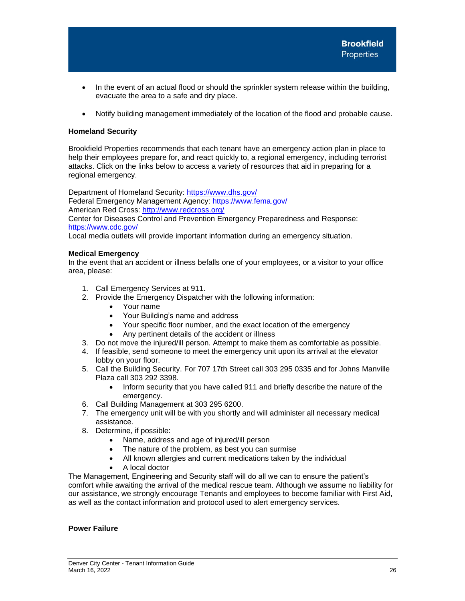- In the event of an actual flood or should the sprinkler system release within the building, evacuate the area to a safe and dry place.
- Notify building management immediately of the location of the flood and probable cause.

# <span id="page-27-0"></span>**Homeland Security**

Brookfield Properties recommends that each tenant have an emergency action plan in place to help their employees prepare for, and react quickly to, a regional emergency, including terrorist attacks. Click on the links below to access a variety of resources that aid in preparing for a regional emergency.

Department of Homeland Security:<https://www.dhs.gov/> Federal Emergency Management Agency:<https://www.fema.gov/> American Red Cross:<http://www.redcross.org/>

Center for Diseases Control and Prevention Emergency Preparedness and Response: <https://www.cdc.gov/>

Local media outlets will provide important information during an emergency situation.

# <span id="page-27-1"></span>**Medical Emergency**

In the event that an accident or illness befalls one of your employees, or a visitor to your office area, please:

- 1. Call Emergency Services at 911.
- 2. Provide the Emergency Dispatcher with the following information:
	- Your name
	- Your Building's name and address
	- Your specific floor number, and the exact location of the emergency
	- Any pertinent details of the accident or illness
- 3. Do not move the injured/ill person. Attempt to make them as comfortable as possible.
- 4. If feasible, send someone to meet the emergency unit upon its arrival at the elevator lobby on your floor.
- 5. Call the Building Security. For 707 17th Street call 303 295 0335 and for Johns Manville Plaza call 303 292 3398.
	- Inform security that you have called 911 and briefly describe the nature of the emergency.
- 6. Call Building Management at 303 295 6200.
- 7. The emergency unit will be with you shortly and will administer all necessary medical assistance.
- 8. Determine, if possible:
	- Name, address and age of injured/ill person
	- The nature of the problem, as best you can surmise
	- All known allergies and current medications taken by the individual
	- A local doctor

The Management, Engineering and Security staff will do all we can to ensure the patient's comfort while awaiting the arrival of the medical rescue team. Although we assume no liability for our assistance, we strongly encourage Tenants and employees to become familiar with First Aid, as well as the contact information and protocol used to alert emergency services.

# <span id="page-27-2"></span>**Power Failure**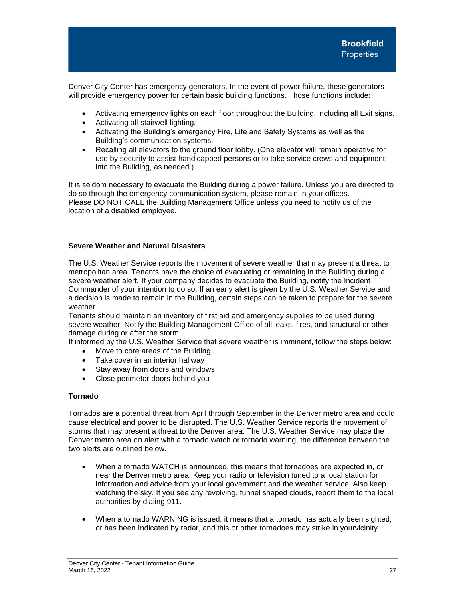Denver City Center has emergency generators. In the event of power failure, these generators will provide emergency power for certain basic building functions. Those functions include:

- Activating emergency lights on each floor throughout the Building, including all Exit signs.
- Activating all stairwell lighting.
- Activating the Building's emergency Fire, Life and Safety Systems as well as the Building's communication systems.
- Recalling all elevators to the ground floor lobby. (One elevator will remain operative for use by security to assist handicapped persons or to take service crews and equipment into the Building, as needed.)

It is seldom necessary to evacuate the Building during a power failure. Unless you are directed to do so through the emergency communication system, please remain in your offices. Please DO NOT CALL the Building Management Office unless you need to notify us of the location of a disabled employee.

# <span id="page-28-0"></span>**Severe Weather and Natural Disasters**

The U.S. Weather Service reports the movement of severe weather that may present a threat to metropolitan area. Tenants have the choice of evacuating or remaining in the Building during a severe weather alert. If your company decides to evacuate the Building, notify the Incident Commander of your intention to do so. If an early alert is given by the U.S. Weather Service and a decision is made to remain in the Building, certain steps can be taken to prepare for the severe weather.

Tenants should maintain an inventory of first aid and emergency supplies to be used during severe weather. Notify the Building Management Office of all leaks, fires, and structural or other damage during or after the storm.

If informed by the U.S. Weather Service that severe weather is imminent, follow the steps below:

- Move to core areas of the Building
- Take cover in an interior hallway
- Stay away from doors and windows
- Close perimeter doors behind you

# <span id="page-28-1"></span>**Tornado**

Tornados are a potential threat from April through September in the Denver metro area and could cause electrical and power to be disrupted. The U.S. Weather Service reports the movement of storms that may present a threat to the Denver area. The U.S. Weather Service may place the Denver metro area on alert with a tornado watch or tornado warning, the difference between the two alerts are outlined below.

- When a tornado WATCH is announced, this means that tornadoes are expected in, or near the Denver metro area. Keep your radio or television tuned to a local station for information and advice from your local government and the weather service. Also keep watching the sky. If you see any revolving, funnel shaped clouds, report them to the local authorities by dialing 911.
- When a tornado WARNING is issued, it means that a tornado has actually been sighted, or has been Indicated by radar, and this or other tornadoes may strike in yourvicinity.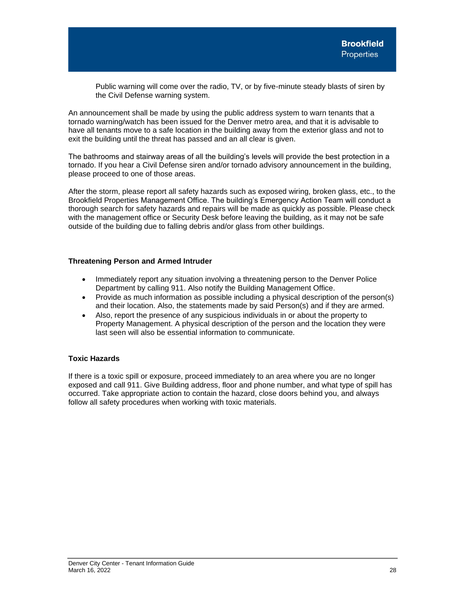Public warning will come over the radio, TV, or by five-minute steady blasts of siren by the Civil Defense warning system.

An announcement shall be made by using the public address system to warn tenants that a tornado warning/watch has been issued for the Denver metro area, and that it is advisable to have all tenants move to a safe location in the building away from the exterior glass and not to exit the building until the threat has passed and an all clear is given.

The bathrooms and stairway areas of all the building's levels will provide the best protection in a tornado. If you hear a Civil Defense siren and/or tornado advisory announcement in the building, please proceed to one of those areas.

After the storm, please report all safety hazards such as exposed wiring, broken glass, etc., to the Brookfield Properties Management Office. The building's Emergency Action Team will conduct a thorough search for safety hazards and repairs will be made as quickly as possible. Please check with the management office or Security Desk before leaving the building, as it may not be safe outside of the building due to falling debris and/or glass from other buildings.

# <span id="page-29-0"></span>**Threatening Person and Armed Intruder**

- Immediately report any situation involving a threatening person to the Denver Police Department by calling 911. Also notify the Building Management Office.
- Provide as much information as possible including a physical description of the person(s) and their location. Also, the statements made by said Person(s) and if they are armed.
- Also, report the presence of any suspicious individuals in or about the property to Property Management. A physical description of the person and the location they were last seen will also be essential information to communicate.

# <span id="page-29-1"></span>**Toxic Hazards**

If there is a toxic spill or exposure, proceed immediately to an area where you are no longer exposed and call 911. Give Building address, floor and phone number, and what type of spill has occurred. Take appropriate action to contain the hazard, close doors behind you, and always follow all safety procedures when working with toxic materials.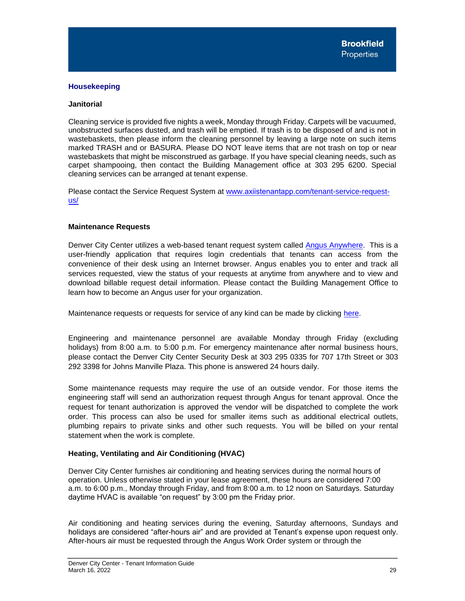# <span id="page-30-0"></span>**Housekeeping**

# **Janitorial**

Cleaning service is provided five nights a week, Monday through Friday. Carpets will be vacuumed, unobstructed surfaces dusted, and trash will be emptied. If trash is to be disposed of and is not in wastebaskets, then please inform the cleaning personnel by leaving a large note on such items marked TRASH and or BASURA. Please DO NOT leave items that are not trash on top or near wastebaskets that might be misconstrued as garbage. If you have special cleaning needs, such as carpet shampooing, then contact the Building Management office at 303 295 6200. Special cleaning services can be arranged at tenant expense.

Please contact the Service Request System at www.axiistenantapp.com[/tenant-service-request](http://www.mybrookfield.app/tenant-service-request-us/)us/

# **Maintenance Requests**

Denver City Center utilizes a web-based tenant request system calle[d Angus Anywhere.](https://www.ng1.angusanywhere.com/Tenant/Default.aspx?CompanyName=Trizec&WebsiteName=Brookfield) This is a user-friendly application that requires login credentials that tenants can access from the convenience of their desk using an Internet browser. Angus enables you to enter and track all services requested, view the status of your requests at anytime from anywhere and to view and download billable request detail information. Please contact the Building Management Office to learn how to become an Angus user for your organization.

Maintenance requests or requests for service of any kind can be made by clicking [here.](https://www.ng1.angusanywhere.com/Tenant/Default.aspx?CompanyName=Trizec&WebsiteName=Brookfield)

Engineering and maintenance personnel are available Monday through Friday (excluding holidays) from 8:00 a.m. to 5:00 p.m. For emergency maintenance after normal business hours, please contact the Denver City Center Security Desk at 303 295 0335 for 707 17th Street or 303 292 3398 for Johns Manville Plaza. This phone is answered 24 hours daily.

Some maintenance requests may require the use of an outside vendor. For those items the engineering staff will send an authorization request through Angus for tenant approval. Once the request for tenant authorization is approved the vendor will be dispatched to complete the work order. This process can also be used for smaller items such as additional electrical outlets, plumbing repairs to private sinks and other such requests. You will be billed on your rental statement when the work is complete.

# <span id="page-30-1"></span>**Heating, Ventilating and Air Conditioning (HVAC)**

Denver City Center furnishes air conditioning and heating services during the normal hours of operation. Unless otherwise stated in your lease agreement, these hours are considered 7:00 a.m. to 6:00 p.m., Monday through Friday, and from 8:00 a.m. to 12 noon on Saturdays. Saturday daytime HVAC is available "on request" by 3:00 pm the Friday prior.

Air conditioning and heating services during the evening, Saturday afternoons, Sundays and holidays are considered "after-hours air" and are provided at Tenant's expense upon request only. After-hours air must be requested through the Angus Work Order system or through the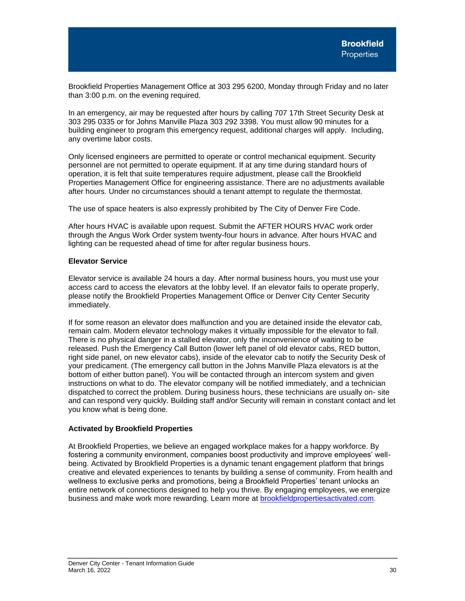Brookfield Properties Management Office at 303 295 6200, Monday through Friday and no later than 3:00 p.m. on the evening required.

In an emergency, air may be requested after hours by calling 707 17th Street Security Desk at 303 295 0335 or for Johns Manville Plaza 303 292 3398. You must allow 90 minutes for a building engineer to program this emergency request, additional charges will apply. Including, any overtime labor costs.

Only licensed engineers are permitted to operate or control mechanical equipment. Security personnel are not permitted to operate equipment. If at any time during standard hours of operation, it is felt that suite temperatures require adjustment, please call the Brookfield Properties Management Office for engineering assistance. There are no adjustments available after hours. Under no circumstances should a tenant attempt to regulate the thermostat.

The use of space heaters is also expressly prohibited by The City of Denver Fire Code.

After hours HVAC is available upon request. Submit the AFTER HOURS HVAC work order through the Angus Work Order system twenty-four hours in advance. After hours HVAC and lighting can be requested ahead of time for after regular business hours.

# <span id="page-31-0"></span>**Elevator Service**

Elevator service is available 24 hours a day. After normal business hours, you must use your access card to access the elevators at the lobby level. If an elevator fails to operate properly, please notify the Brookfield Properties Management Office or Denver City Center Security immediately.

If for some reason an elevator does malfunction and you are detained inside the elevator cab, remain calm. Modern elevator technology makes it virtually impossible for the elevator to fall. There is no physical danger in a stalled elevator, only the inconvenience of waiting to be released. Push the Emergency Call Button (lower left panel of old elevator cabs, RED button, right side panel, on new elevator cabs), inside of the elevator cab to notify the Security Desk of your predicament. (The emergency call button in the Johns Manville Plaza elevators is at the bottom of either button panel). You will be contacted through an intercom system and given instructions on what to do. The elevator company will be notified immediately, and a technician dispatched to correct the problem. During business hours, these technicians are usually on- site and can respond very quickly. Building staff and/or Security will remain in constant contact and let you know what is being done.

# <span id="page-31-1"></span>**Activated by Brookfield Properties**

At Brookfield Properties, we believe an engaged workplace makes for a happy workforce. By fostering a community environment, companies boost productivity and improve employees' wellbeing. Activated by Brookfield Properties is a dynamic tenant engagement platform that brings creative and elevated experiences to tenants by building a sense of community. From health and wellness to exclusive perks and promotions, being a Brookfield Properties' tenant unlocks an entire network of connections designed to help you thrive. By engaging employees, we energize business and make work more rewarding. Learn more at [brookfieldpropertiesactivated.com](https://can01.safelinks.protection.outlook.com/?url=https%3A%2F%2Fbrookfieldpropertiesactivated.com%2F&data=04%7C01%7Cangelina.rodriguez%40brookfieldproperties.com%7Cc8d7781b65ce44ef164308d9e73b37a5%7Cdaf884b0be164f2a8bbbdc6099a56844%7C0%7C0%7C637795063807013626%7CUnknown%7CTWFpbGZsb3d8eyJWIjoiMC4wLjAwMDAiLCJQIjoiV2luMzIiLCJBTiI6Ik1haWwiLCJXVCI6Mn0%3D%7C3000&sdata=zo6VTKmfyIIrvCmfEs5HhRJ7CDjii%2B3ARJ%2BeJfEP5FI%3D&reserved=0).